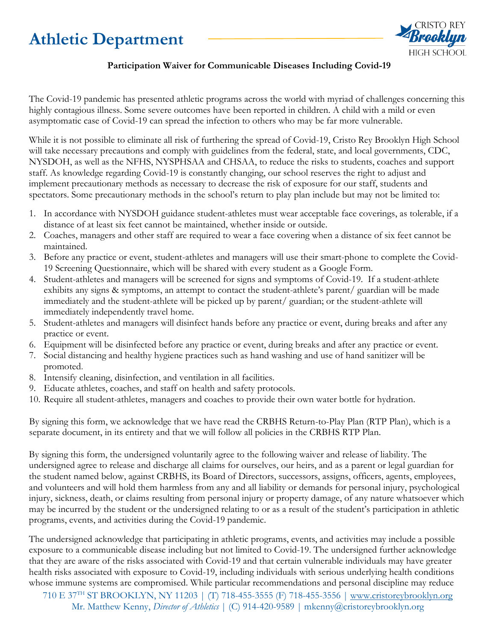## **Athletic Department**



## **Participation Waiver for Communicable Diseases Including Covid-19**

The Covid-19 pandemic has presented athletic programs across the world with myriad of challenges concerning this highly contagious illness. Some severe outcomes have been reported in children. A child with a mild or even asymptomatic case of Covid-19 can spread the infection to others who may be far more vulnerable.

While it is not possible to eliminate all risk of furthering the spread of Covid-19, Cristo Rey Brooklyn High School will take necessary precautions and comply with guidelines from the federal, state, and local governments, CDC, NYSDOH, as well as the NFHS, NYSPHSAA and CHSAA, to reduce the risks to students, coaches and support staff. As knowledge regarding Covid-19 is constantly changing, our school reserves the right to adjust and implement precautionary methods as necessary to decrease the risk of exposure for our staff, students and spectators. Some precautionary methods in the school's return to play plan include but may not be limited to:

- 1. In accordance with NYSDOH guidance student-athletes must wear acceptable face coverings, as tolerable, if a distance of at least six feet cannot be maintained, whether inside or outside.
- 2. Coaches, managers and other staff are required to wear a face covering when a distance of six feet cannot be maintained.
- 3. Before any practice or event, student-athletes and managers will use their smart-phone to complete the Covid-19 Screening Questionnaire, which will be shared with every student as a Google Form.
- 4. Student-athletes and managers will be screened for signs and symptoms of Covid-19. If a student-athlete exhibits any signs & symptoms, an attempt to contact the student-athlete's parent/ guardian will be made immediately and the student-athlete will be picked up by parent/ guardian; or the student-athlete will immediately independently travel home.
- 5. Student-athletes and managers will disinfect hands before any practice or event, during breaks and after any practice or event.
- 6. Equipment will be disinfected before any practice or event, during breaks and after any practice or event.
- 7. Social distancing and healthy hygiene practices such as hand washing and use of hand sanitizer will be promoted.
- 8. Intensify cleaning, disinfection, and ventilation in all facilities.
- 9. Educate athletes, coaches, and staff on health and safety protocols.
- 10. Require all student-athletes, managers and coaches to provide their own water bottle for hydration.

By signing this form, we acknowledge that we have read the CRBHS Return-to-Play Plan (RTP Plan), which is a separate document, in its entirety and that we will follow all policies in the CRBHS RTP Plan.

By signing this form, the undersigned voluntarily agree to the following waiver and release of liability. The undersigned agree to release and discharge all claims for ourselves, our heirs, and as a parent or legal guardian for the student named below, against CRBHS, its Board of Directors, successors, assigns, officers, agents, employees, and volunteers and will hold them harmless from any and all liability or demands for personal injury, psychological injury, sickness, death, or claims resulting from personal injury or property damage, of any nature whatsoever which may be incurred by the student or the undersigned relating to or as a result of the student's participation in athletic programs, events, and activities during the Covid-19 pandemic.

The undersigned acknowledge that participating in athletic programs, events, and activities may include a possible exposure to a communicable disease including but not limited to Covid-19. The undersigned further acknowledge that they are aware of the risks associated with Covid-19 and that certain vulnerable individuals may have greater health risks associated with exposure to Covid-19, including individuals with serious underlying health conditions whose immune systems are compromised. While particular recommendations and personal discipline may reduce

710 E 37TH ST BROOKLYN, NY 11203 | (T) 718-455-3555 (F) 718-455-3556 | [www.cristoreybrooklyn.org](http://www.cristoreybrooklyn.org/) Mr. Matthew Kenny, *Director of Athletics* | (C) 914-420-9589 | mkenny@cristoreybrooklyn.org